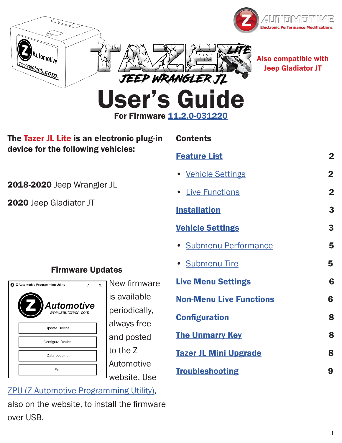



Automotive

**Rautotech.com** 

Also compatible with Jeep Gladiator JT

For Firmware 11.2.[0-](https://www.zautomotive.com/tazer-jl-updates/)031220

| The Tazer JL Lite is an electronic plug-in<br>device for the following vehicles: |                           | <b>Contents</b>                |                         |
|----------------------------------------------------------------------------------|---------------------------|--------------------------------|-------------------------|
|                                                                                  |                           | <b>Feature List</b>            | $\overline{\mathbf{2}}$ |
|                                                                                  |                           | • Vehicle Settings             | $\overline{2}$          |
| 2018-2020 Jeep Wrangler JL<br>2020 Jeep Gladiator JT                             |                           | <b>Live Functions</b>          | $\overline{\mathbf{2}}$ |
|                                                                                  |                           | <b>Installation</b>            | 3                       |
|                                                                                  |                           | <b>Vehicle Settings</b>        | $\mathbf{3}$            |
|                                                                                  |                           | · Submenu Performance          | 5                       |
| <b>Firmware Updates</b>                                                          |                           | <b>Submenu Tire</b>            | 5                       |
| $\mathsf{x}$<br>$\mathcal{L}$<br>2 Z Automotive Programming Utility              | New firmware              | <b>Live Menu Settings</b>      | 6                       |
| Automotive                                                                       | is available              | <b>Non-Menu Live Functions</b> | 6                       |
|                                                                                  | periodically,             | <b>Configuration</b>           | 8                       |
| <b>Update Device</b>                                                             | always free<br>and posted | <b>The Unmarry Key</b>         | 8                       |
| Configure Device                                                                 |                           |                                |                         |
| Data Logging                                                                     | to the Z                  | <b>Tazer JL Mini Upgrade</b>   |                         |
| Exit                                                                             | Automotive                | <b>Troubleshooting</b>         |                         |
|                                                                                  | website. Use              |                                | 9                       |

[ZPU \(Z Automotive Programming Utility\),](https://www.zautomotive.com/z-automotive-programming-uti/) also on the website, to install the firmware over USB.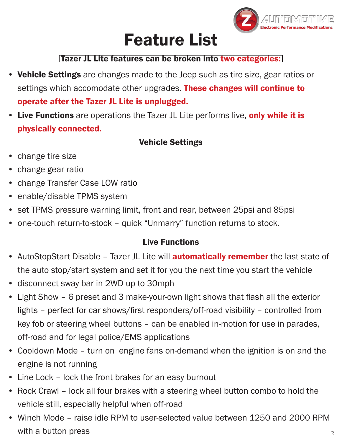

# Feature List

#### Tazer JL Lite features can be broken into two categories:

- <span id="page-1-0"></span>• Vehicle Settings are changes made to the Jeep such as tire size, gear ratios or settings which accomodate other upgrades. These changes will continue to operate after the Tazer JL Lite is unplugged.
- Live Functions are operations the Tazer JL Lite performs live, only while it is physically connected.

#### Vehicle Settings

- change tire size
- change gear ratio
- change Transfer Case LOW ratio
- enable/disable TPMS system
- set TPMS pressure warning limit, front and rear, between 25psi and 85psi
- one-touch return-to-stock quick "Unmarry" function returns to stock.

#### Live Functions

- AutoStopStart Disable Tazer JL Lite will **automatically remember** the last state of the auto stop/start system and set it for you the next time you start the vehicle
- disconnect sway bar in 2WD up to 30mph
- Light Show 6 preset and 3 make-your-own light shows that flash all the exterior lights – perfect for car shows/first responders/off-road visibility – controlled from key fob or steering wheel buttons – can be enabled in-motion for use in parades, off-road and for legal police/EMS applications
- Cooldown Mode turn on engine fans on-demand when the ignition is on and the engine is not running
- Line Lock lock the front brakes for an easy burnout
- Rock Crawl lock all four brakes with a steering wheel button combo to hold the vehicle still, especially helpful when off-road
- Winch Mode raise idle RPM to user-selected value between 1250 and 2000 RPM with a button press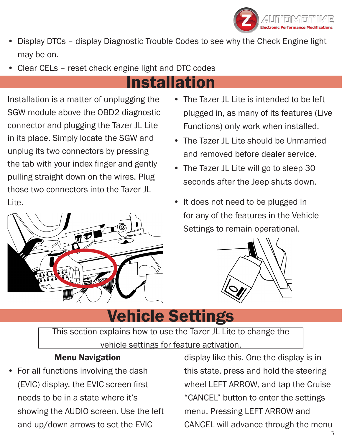

- <span id="page-2-0"></span>• Display DTCs – display Diagnostic Trouble Codes to see why the Check Engine light may be on.
- Clear CELs reset check engine light and DTC codes

# Installation

Installation is a matter of unplugging the SGW module above the OBD2 diagnostic connector and plugging the Tazer JL Lite in its place. Simply locate the SGW and unplug its two connectors by pressing the tab with your index finger and gently pulling straight down on the wires. Plug those two connectors into the Tazer JL Lite.



- The Tazer JL Lite is intended to be left plugged in, as many of its features (Live Functions) only work when installed.
- The Tazer JL Lite should be Unmarried and removed before dealer service.
- The Tazer JL Lite will go to sleep 30 seconds after the Jeep shuts down.
- It does not need to be plugged in for any of the features in the Vehicle Settings to remain operational.



# Vehicle Settings

This section explains how to use the Tazer JL Lite to change the vehicle settings for feature activation.

#### Menu Navigation

• For all functions involving the dash (EVIC) display, the EVIC screen first needs to be in a state where it's showing the AUDIO screen. Use the left and up/down arrows to set the EVIC

display like this. One the display is in this state, press and hold the steering wheel LEFT ARROW, and tap the Cruise "CANCEL" button to enter the settings menu. Pressing LEFT ARROW and CANCEL will advance through the menu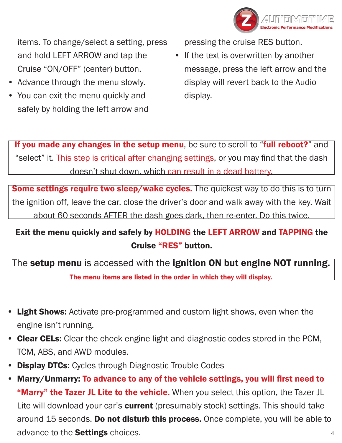

items. To change/select a setting, press and hold LEFT ARROW and tap the Cruise "ON/OFF" (center) button.

- Advance through the menu slowly.
- You can exit the menu quickly and safely by holding the left arrow and

pressing the cruise RES button.

• If the text is overwritten by another message, press the left arrow and the display will revert back to the Audio display.

If you made any changes in the setup menu, be sure to scroll to "full reboot?" and "select" it. This step is critical after changing settings, or you may find that the dash doesn't shut down, which can result in a dead battery.

Some settings require two sleep/wake cycles. The quickest way to do this is to turn the ignition off, leave the car, close the driver's door and walk away with the key. Wait about 60 seconds AFTER the dash goes dark, then re-enter. Do this twice.

#### Exit the menu quickly and safely by HOLDING the LEFT ARROW and TAPPING the Cruise "RES" button.

The setup menu is accessed with the ignition ON but engine NOT running. The menu items are listed in the order in which they will display.

- Light Shows: Activate pre-programmed and custom light shows, even when the engine isn't running.
- Clear CELs: Clear the check engine light and diagnostic codes stored in the PCM, TCM, ABS, and AWD modules.
- Display DTCs: Cycles through Diagnostic Trouble Codes
- Marry/Unmarry: To advance to any of the vehicle settings, you will first need to "Marry" the Tazer JL Lite to the vehicle. When you select this option, the Tazer JL Lite will download your car's **current** (presumably stock) settings. This should take around 15 seconds. Do not disturb this process. Once complete, you will be able to advance to the **Settings** choices.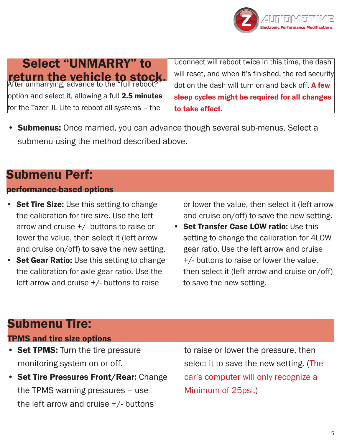

## <span id="page-4-0"></span>return the vehicle to stock. option and select it, allowing a full 2.5 minutes for the Tazer JL Lite to reboot all systems – the Select "UNMARRY" to

Uconnect will reboot twice in this time, the dash will reset, and when it's finished, the red security dot on the dash will turn on and back off. A few sleep cycles might be required for all changes to take effect.

• Submenus: Once married, you can advance though several sub-menus. Select a submenu using the method described above.

### Submenu Perf:

#### performance-based options

- **Set Tire Size:** Use this setting to change the calibration for tire size. Use the left arrow and cruise +/- buttons to raise or lower the value, then select it (left arrow and cruise on/off) to save the new setting.
- Set Gear Ratio: Use this setting to change the calibration for axle gear ratio. Use the left arrow and cruise +/- buttons to raise

or lower the value, then select it (left arrow and cruise on/off) to save the new setting.

• Set Transfer Case LOW ratio: Use this setting to change the calibration for 4LOW gear ratio. Use the left arrow and cruise +/- buttons to raise or lower the value, then select it (left arrow and cruise on/off) to save the new setting.

## Submenu Tire:

#### TPMS and tire size options

- Set TPMS: Turn the tire pressure monitoring system on or off.
- Set Tire Pressures Front/Rear: Change the TPMS warning pressures – use the left arrow and cruise +/- buttons

to raise or lower the pressure, then select it to save the new setting. (The car's computer will only recognize a Minimum of 25psi.)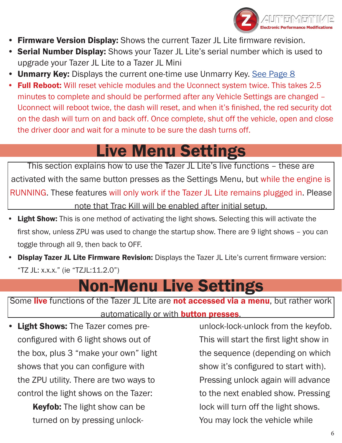

- <span id="page-5-0"></span>**Firmware Version Display:** Shows the current Tazer JL Lite firmware revision.
- **Serial Number Display:** Shows your Tazer JL Lite's serial number which is used to upgrade your Tazer JL Lite to a Tazer JL Mini
- **Unmarry Key:** Displays the current one-time use Unmarry Key. [See Page 8](#page-7-0)
- **Full Reboot:** Will reset vehicle modules and the Uconnect system twice. This takes 2.5 minutes to complete and should be performed after any Vehicle Settings are changed – Uconnect will reboot twice, the dash will reset, and when it's finished, the red security dot on the dash will turn on and back off. Once complete, shut off the vehicle, open and close the driver door and wait for a minute to be sure the dash turns off.

# Live Menu Settings

This section explains how to use the Tazer JL Lite's live functions – these are activated with the same button presses as the Settings Menu, but while the engine is RUNNING. These features will only work if the Tazer JL Lite remains plugged in. Please note that Trac Kill will be enabled after initial setup.

- Light Show: This is one method of activating the light shows. Selecting this will activate the first show, unless ZPU was used to change the startup show. There are 9 light shows – you can toggle through all 9, then back to OFF.
- Display Tazer JL Lite Firmware Revision: Displays the Tazer JL Lite's current firmware version: "TZ JL: x.x.x." (ie "TZJL:11.2.0")

## Non-Menu Live Settings

Some live functions of the Tazer JL Lite are not accessed via a menu, but rather work automatically or with **button presses**.

• Light Shows: The Tazer comes preconfigured with 6 light shows out of the box, plus 3 "make your own" light shows that you can configure with the ZPU utility. There are two ways to control the light shows on the Tazer:

**Keyfob:** The light show can be turned on by pressing unlock-

unlock-lock-unlock from the keyfob. This will start the first light show in the sequence (depending on which show it's configured to start with). Pressing unlock again will advance to the next enabled show. Pressing lock will turn off the light shows. You may lock the vehicle while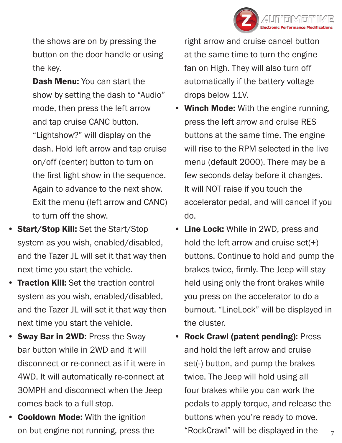

the shows are on by pressing the button on the door handle or using the key.

Dash Menu: You can start the show by setting the dash to "Audio" mode, then press the left arrow and tap cruise CANC button. "Lightshow?" will display on the dash. Hold left arrow and tap cruise on/off (center) button to turn on the first light show in the sequence. Again to advance to the next show. Exit the menu (left arrow and CANC) to turn off the show.

- **Start/Stop Kill:** Set the Start/Stop system as you wish, enabled/disabled, and the Tazer JL will set it that way then next time you start the vehicle.
- **Traction Kill:** Set the traction control system as you wish, enabled/disabled, and the Tazer JL will set it that way then next time you start the vehicle.
- Sway Bar in 2WD: Press the Sway bar button while in 2WD and it will disconnect or re-connect as if it were in 4WD. It will automatically re-connect at 30MPH and disconnect when the Jeep comes back to a full stop.
- **Cooldown Mode:** With the ignition on but engine not running, press the

right arrow and cruise cancel button at the same time to turn the engine fan on High. They will also turn off automatically if the battery voltage drops below 11V.

- Winch Mode: With the engine running, press the left arrow and cruise RES buttons at the same time. The engine will rise to the RPM selected in the live menu (default 2000). There may be a few seconds delay before it changes. It will NOT raise if you touch the accelerator pedal, and will cancel if you do.
- Line Lock: While in 2WD, press and hold the left arrow and cruise set $(+)$ buttons. Continue to hold and pump the brakes twice, firmly. The Jeep will stay held using only the front brakes while you press on the accelerator to do a burnout. "LineLock" will be displayed in the cluster.
- Rock Crawl (patent pending): Press and hold the left arrow and cruise set(-) button, and pump the brakes twice. The Jeep will hold using all four brakes while you can work the pedals to apply torque, and release the buttons when you're ready to move. "RockCrawl" will be displayed in the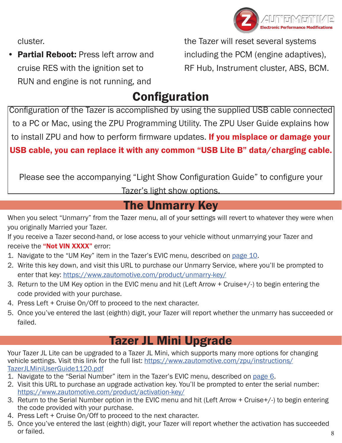

<span id="page-7-0"></span>cluster.

**Partial Reboot: Press left arrow and** cruise RES with the ignition set to RUN and engine is not running, and

the Tazer will reset several systems including the PCM (engine adaptives), RF Hub, Instrument cluster, ABS, BCM.

## **Configuration**

Configuration of the Tazer is accomplished by using the supplied USB cable connected to a PC or Mac, using the ZPU Programming Utility. The ZPU User Guide explains how to install ZPU and how to perform firmware updates. If you misplace or damage your USB cable, you can replace it with any common "USB Lite B" data/charging cable.

Please see the accompanying "Light Show Configuration Guide" to configure your

Tazer's light show options.

## The Unmarry Key

When you select "Unmarry" from the Tazer menu, all of your settings will revert to whatever they were when you originally Married your Tazer.

If you receive a Tazer second-hand, or lose access to your vehicle without unmarrying your Tazer and receive the "Not VIN XXXX" error:

- 1. Navigate to the "UM Key" item in the Tazer's EVIC menu, described on page 10.
- 2. Write this key down, and visit this URL to purchase our Unmarry Service, where you'll be prompted to enter that key: https://www.zautomotive.com/product/unmarry-key/
- 3. Return to the UM Key option in the EVIC menu and hit (Left Arrow + Cruise+/-) to begin entering the code provided with your purchase.
- 4. Press Left + Cruise On/Off to proceed to the next character.
- 5. Once you've entered the last (eighth) digit, your Tazer will report whether the unmarry has succeeded or failed.

### Tazer JL Mini Upgrade

Your Tazer JL Lite can be upgraded to a Tazer JL Mini, which supports many more options for changing vehicle settings. Visit this link for the full list: [https://www.zautomotive.com/zpu/instructions/](https://www.zautomotive.com/zpu/instructions/TazerJLMiniUserGuide1120.pdf) [TazerJLMiniUserGuide1120.pdf](https://www.zautomotive.com/zpu/instructions/TazerJLMiniUserGuide1120.pdf)

- 1. Navigate to the "Serial Number" item in the Tazer's EVIC menu, described on [page](#page-5-0) 6.
- 2. Visit this URL to purchase an upgrade activation key. You'll be prompted to enter the serial number: [https://www.zautomotive.com/product/activation-key/](https://www.zautomotive.com/product/activation-key/ )
- 3. Return to the Serial Number option in the EVIC menu and hit (Left Arrow + Cruise+/-) to begin entering the code provided with your purchase.
- 4. Press Left + Cruise On/Off to proceed to the next character.
- 5. Once you've entered the last (eighth) digit, your Tazer will report whether the activation has succeeded or failed.